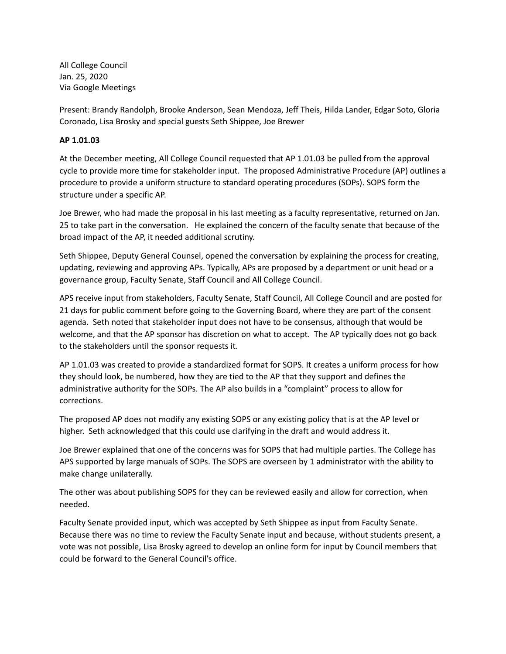All College Council Jan. 25, 2020 Via Google Meetings

Present: Brandy Randolph, Brooke Anderson, Sean Mendoza, Jeff Theis, Hilda Lander, Edgar Soto, Gloria Coronado, Lisa Brosky and special guests Seth Shippee, Joe Brewer

## **AP 1.01.03**

At the December meeting, All College Council requested that AP 1.01.03 be pulled from the approval cycle to provide more time for stakeholder input. The proposed Administrative Procedure (AP) outlines a procedure to provide a uniform structure to standard operating procedures (SOPs). SOPS form the structure under a specific AP.

Joe Brewer, who had made the proposal in his last meeting as a faculty representative, returned on Jan. 25 to take part in the conversation. He explained the concern of the faculty senate that because of the broad impact of the AP, it needed additional scrutiny.

Seth Shippee, Deputy General Counsel, opened the conversation by explaining the process for creating, updating, reviewing and approving APs. Typically, APs are proposed by a department or unit head or a governance group, Faculty Senate, Staff Council and All College Council.

APS receive input from stakeholders, Faculty Senate, Staff Council, All College Council and are posted for 21 days for public comment before going to the Governing Board, where they are part of the consent agenda. Seth noted that stakeholder input does not have to be consensus, although that would be welcome, and that the AP sponsor has discretion on what to accept. The AP typically does not go back to the stakeholders until the sponsor requests it.

AP 1.01.03 was created to provide a standardized format for SOPS. It creates a uniform process for how they should look, be numbered, how they are tied to the AP that they support and defines the administrative authority for the SOPs. The AP also builds in a "complaint" process to allow for corrections.

The proposed AP does not modify any existing SOPS or any existing policy that is at the AP level or higher. Seth acknowledged that this could use clarifying in the draft and would address it.

Joe Brewer explained that one of the concerns was for SOPS that had multiple parties. The College has APS supported by large manuals of SOPs. The SOPS are overseen by 1 administrator with the ability to make change unilaterally.

The other was about publishing SOPS for they can be reviewed easily and allow for correction, when needed.

Faculty Senate provided input, which was accepted by Seth Shippee as input from Faculty Senate. Because there was no time to review the Faculty Senate input and because, without students present, a vote was not possible, Lisa Brosky agreed to develop an online form for input by Council members that could be forward to the General Council's office.